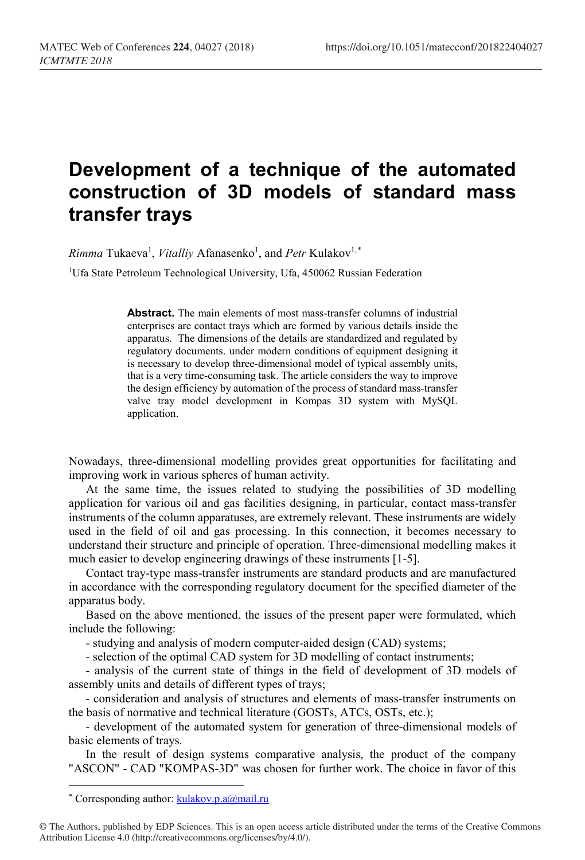## **Development of a technique of the automated construction of 3D models of standard mass transfer trays**

 $Rimma$  Tukaeva<sup>1</sup>, *Vitalliy* Afanasenko<sup>1</sup>, and *Petr* Kulakov<sup>1,[\\*](#page-0-0)</sup>

<sup>1</sup>Ufa State Petroleum Technological University, Ufa, 450062 Russian Federation

**Abstract.** The main elements of most mass-transfer columns of industrial enterprises are contact trays which are formed by various details inside the apparatus. The dimensions of the details are standardized and regulated by regulatory documents. under modern conditions of equipment designing it is necessary to develop three-dimensional model of typical assembly units, that is a very time-consuming task. The article considers the way to improve the design efficiency by automation of the process of standard mass-transfer valve tray model development in Kompas 3D system with MySQL application.

Nowadays, three-dimensional modelling provides great opportunities for facilitating and improving work in various spheres of human activity.

At the same time, the issues related to studying the possibilities of 3D modelling application for various oil and gas facilities designing, in particular, contact mass-transfer instruments of the column apparatuses, are extremely relevant. These instruments are widely used in the field of oil and gas processing. In this connection, it becomes necessary to understand their structure and principle of operation. Three-dimensional modelling makes it much easier to develop engineering drawings of these instruments [1-5].

Contact tray-type mass-transfer instruments are standard products and are manufactured in accordance with the corresponding regulatory document for the specified diameter of the apparatus body.

Based on the above mentioned, the issues of the present paper were formulated, which include the following:

- studying and analysis of modern computer-aided design (CAD) systems;

- selection of the optimal CAD system for 3D modelling of contact instruments;

- analysis of the current state of things in the field of development of 3D models of assembly units and details of different types of trays;

- consideration and analysis of structures and elements of mass-transfer instruments on the basis of normative and technical literature (GOSTs, ATCs, OSTs, etc.);

- development of the automated system for generation of three-dimensional models of basic elements of trays.

In the result of design systems comparative analysis, the product of the company "ASCON" - CAD "KOMPAS-3D" was chosen for further work. The choice in favor of this

 $\overline{\phantom{a}}$ 

<sup>\*</sup> Corresponding author: kulakov.p.a@mail.ru

<span id="page-0-0"></span><sup>©</sup> The Authors, published by EDP Sciences. This is an open access article distributed under the terms of the Creative Commons Attribution License 4.0 (http://creativecommons.org/licenses/by/4.0/).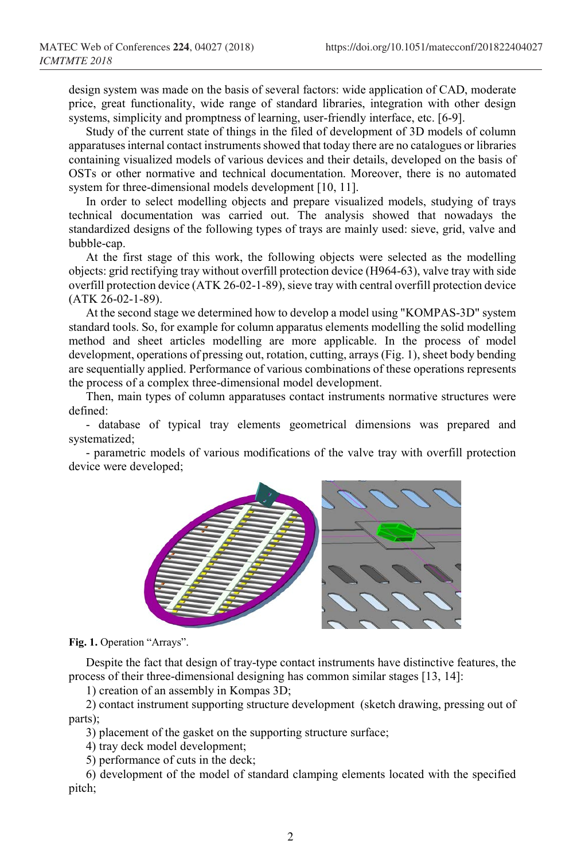design system was made on the basis of several factors: wide application of CAD, moderate price, great functionality, wide range of standard libraries, integration with other design systems, simplicity and promptness of learning, user-friendly interface, etc. [6-9].

Study of the current state of things in the filed of development of 3D models of column apparatuses internal contact instruments showed that today there are no catalogues or libraries containing visualized models of various devices and their details, developed on the basis of OSTs or other normative and technical documentation. Moreover, there is no automated system for three-dimensional models development [10, 11].

In order to select modelling objects and prepare visualized models, studying of trays technical documentation was carried out. The analysis showed that nowadays the standardized designs of the following types of trays are mainly used: sieve, grid, valve and bubble-cap.

At the first stage of this work, the following objects were selected as the modelling objects: grid rectifying tray without overfill protection device (H964-63), valve tray with side overfill protection device (ATK 26-02-1-89), sieve tray with central overfill protection device (ATK 26-02-1-89).

At the second stage we determined how to develop a model using "KOMPAS-3D" system standard tools. So, for example for column apparatus elements modelling the solid modelling method and sheet articles modelling are more applicable. In the process of model development, operations of pressing out, rotation, cutting, arrays (Fig. 1), sheet body bending are sequentially applied. Performance of various combinations of these operations represents the process of a complex three-dimensional model development.

Then, main types of column apparatuses contact instruments normative structures were defined:

- database of typical tray elements geometrical dimensions was prepared and systematized;

- parametric models of various modifications of the valve tray with overfill protection device were developed;



**Fig. 1.** Operation "Arrays".

Despite the fact that design of tray-type contact instruments have distinctive features, the process of their three-dimensional designing has common similar stages [13, 14]:

1) creation of an assembly in Kompas 3D;

2) contact instrument supporting structure development (sketch drawing, pressing out of parts);

3) placement of the gasket on the supporting structure surface;

4) tray deck model development;

5) performance of cuts in the deck;

6) development of the model of standard clamping elements located with the specified pitch;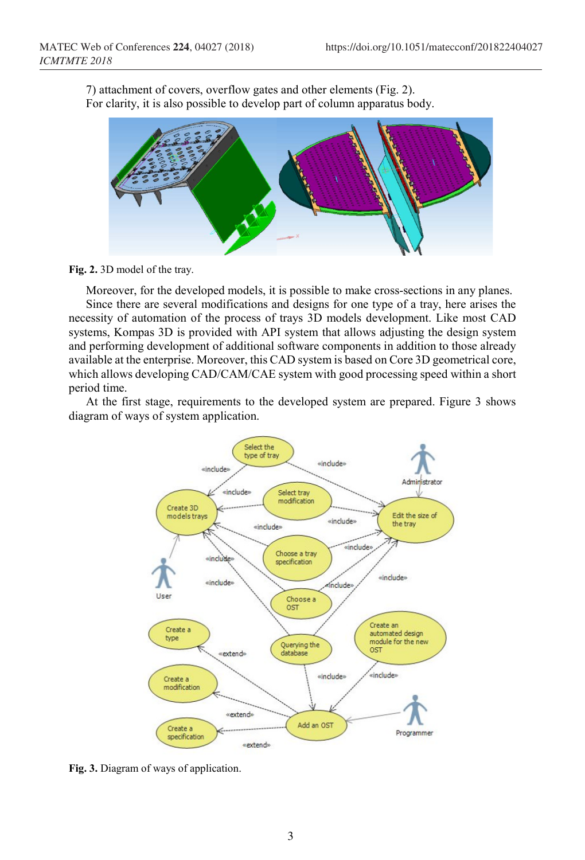7) attachment of covers, overflow gates and other elements (Fig. 2). For clarity, it is also possible to develop part of column apparatus body.



**Fig. 2.** 3D model of the tray.

Moreover, for the developed models, it is possible to make cross-sections in any planes.

Since there are several modifications and designs for one type of a tray, here arises the necessity of automation of the process of trays 3D models development. Like most CAD systems, Kompas 3D is provided with API system that allows adjusting the design system and performing development of additional software components in addition to those already available at the enterprise. Moreover, this CAD system is based on Core 3D geometrical core, which allows developing CAD/CAM/CAE system with good processing speed within a short period time.

At the first stage, requirements to the developed system are prepared. Figure 3 shows diagram of ways of system application.



**Fig. 3.** Diagram of ways of application.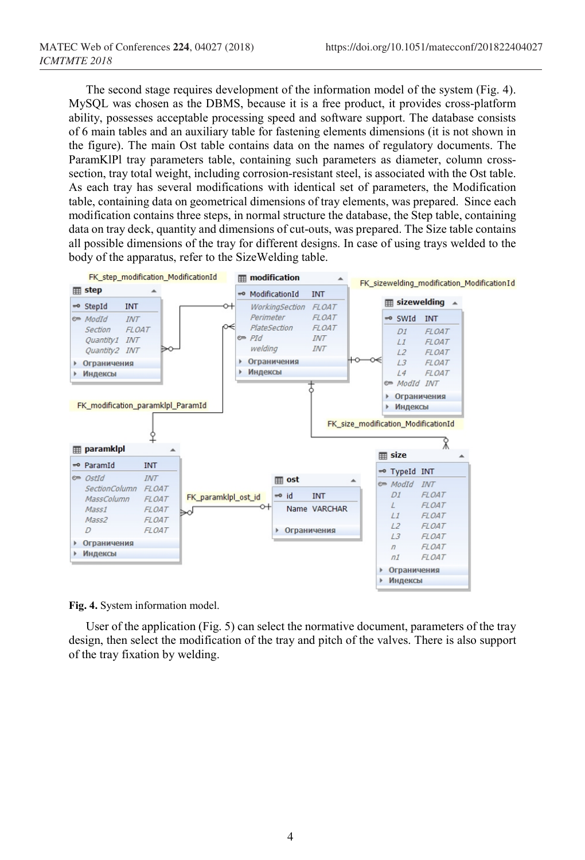The second stage requires development of the information model of the system (Fig. 4). MySQL was chosen as the DBMS, because it is a free product, it provides cross-platform ability, possesses acceptable processing speed and software support. The database consists of 6 main tables and an auxiliary table for fastening elements dimensions (it is not shown in the figure). The main Ost table contains data on the names of regulatory documents. The ParamKlPl tray parameters table, containing such parameters as diameter, column crosssection, tray total weight, including corrosion-resistant steel, is associated with the Ost table. As each tray has several modifications with identical set of parameters, the Modification table, containing data on geometrical dimensions of tray elements, was prepared. Since each modification contains three steps, in normal structure the database, the Step table, containing data on tray deck, quantity and dimensions of cut-outs, was prepared. The Size table contains all possible dimensions of the tray for different designs. In case of using trays welded to the body of the apparatus, refer to the SizeWelding table.



**Fig. 4.** System information model.

User of the application (Fig. 5) can select the normative document, parameters of the tray design, then select the modification of the tray and pitch of the valves. There is also support of the tray fixation by welding.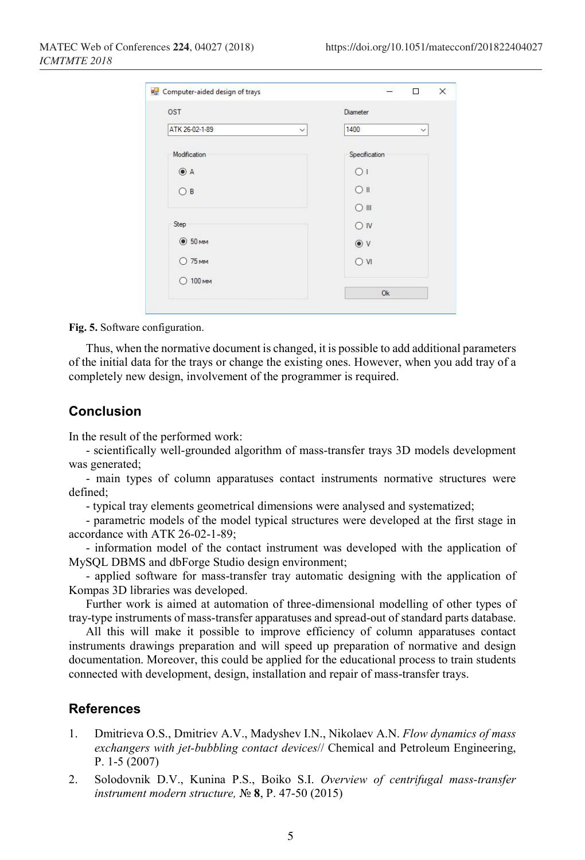| OST            | Diameter                             |
|----------------|--------------------------------------|
| ATK 26-02-1-89 | 1400<br>$\checkmark$<br>$\checkmark$ |
| Modification   | Specification                        |
| $\odot$ A      | $\bigcap$                            |
| $\bigcirc$ B   | $O$ II                               |
|                | $\bigcirc$ III                       |
| Step           | $\bigcirc$ IV                        |
| $\odot$ 50 MM  | $\odot$ V                            |
| <b>75 MM</b>   | $\overline{N}$                       |
| 100 мм<br>Ω    |                                      |
|                | <b>Ok</b>                            |

**Fig. 5.** Software configuration.

Thus, when the normative document is changed, it is possible to add additional parameters of the initial data for the trays or change the existing ones. However, when you add tray of a completely new design, involvement of the programmer is required.

## **Conclusion**

In the result of the performed work:

- scientifically well-grounded algorithm of mass-transfer trays 3D models development was generated;

- main types of column apparatuses contact instruments normative structures were defined;

- typical tray elements geometrical dimensions were analysed and systematized;

- parametric models of the model typical structures were developed at the first stage in accordance with АТК 26-02-1-89;

- information model of the contact instrument was developed with the application of MySQL DBMS and dbForge Studio design environment;

- applied software for mass-transfer tray automatic designing with the application of Kompas 3D libraries was developed.

Further work is aimed at automation of three-dimensional modelling of other types of tray-type instruments of mass-transfer apparatuses and spread-out of standard parts database.

All this will make it possible to improve efficiency of column apparatuses contact instruments drawings preparation and will speed up preparation of normative and design documentation. Moreover, this could be applied for the educational process to train students connected with development, design, installation and repair of mass-transfer trays.

## **References**

- 1. Dmitrieva O.S., Dmitriev A.V., Madyshev I.N., Nikolaev A.N. *Flow dynamics of mass exchangers with jet-bubbling contact devices*// Chemical and Petroleum Engineering, P. 1-5 (2007)
- 2. Solodovnik D.V., Kunina P.S., Boiko S.I. *Overview of centrifugal mass-transfer instrument modern structure,* № **8**, P. 47-50 (2015)